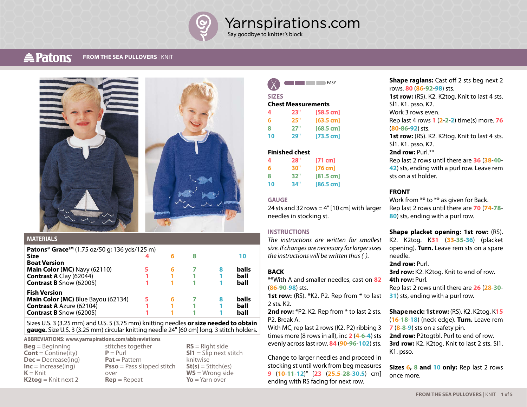

Yarnspirations.com

Say goodbye to knitter's block

#### $\triangle$  Patons **FROM THE SEA PULLOVERS** | KNIT



### **MATERIALS**

| <b>Patons<sup>®</sup> Grace<sup>™</sup> (1.75 oz/50 g; 136 yds/125 m)</b> |   |   |   |   |       |
|---------------------------------------------------------------------------|---|---|---|---|-------|
| <b>Size</b>                                                               |   |   | 8 |   | 10    |
| <b>Boat Version</b>                                                       |   |   |   |   |       |
| Main Color (MC) Navy (62110)                                              |   | 6 |   | 8 | balls |
| <b>Contrast A Clay (62044)</b>                                            |   |   |   |   | ball  |
| <b>Contrast B Snow (62005)</b>                                            |   |   |   |   | ball  |
| <b>Fish Version</b>                                                       |   |   |   |   |       |
| Main Color (MC) Blue Bayou (62134)                                        | 5 | 6 |   | 8 | balls |
| <b>Contrast A Azure (62104)</b>                                           |   |   |   |   | ball  |
| <b>Contrast B Snow (62005)</b>                                            |   |   |   |   | ball  |

Sizes U.S. 3 (3.25 mm) and U.S. 5 (3.75 mm) knitting needles **or size needed to obtain gauge.** Size U.S. 3 (3.25 mm) circular knitting needle 24" [60 cm] long. 3 stitch holders.

### **ABBREVIATIONS: www.yarnspirations.com/abbreviations**

| $\text{Beg} = \text{Beginning}$ |
|---------------------------------|
| <b>Cont</b> = Contine(ity)      |
| <b>Dec</b> = Decrease(ing)      |
| $Inc = Increase(inq)$           |
| $K =$ Knit                      |
| <b>K2tog</b> = Knit next 2      |

stitches together  $P = Purl$ **Pat** = Pattern **Psso** = Pass slipped stitch over **Rep** = Repeat

**RS** = Right side **Sl1** = Slip next stitch knitwise  $St(s) = Stitch(es)$ **WS** = Wrong side  $\mathbf{Y_0} = \text{Yarn over}$ 

|  | <b>FASY</b><br>$\sim$ |
|--|-----------------------|
|--|-----------------------|

### **SIZES Chest Measurements**

| CHESL MICUSULEHICHIS |     |                     |  |  |  |
|----------------------|-----|---------------------|--|--|--|
| 4                    | 23" | [58.5 cm]           |  |  |  |
| 6                    | 25" | $[63.5 \text{ cm}]$ |  |  |  |
| ጸ                    | 27" | $[68.5 \text{ cm}]$ |  |  |  |
| 10                   | 29" | $[73.5 \text{ cm}]$ |  |  |  |

### **Finished chest**

| 4  | 28" | [71 cm]             |
|----|-----|---------------------|
| 6  | 30" | $[76$ cm            |
| 8  | 32" | $[81.5 \text{ cm}]$ |
| 10 | 34" | $[86.5 \text{ cm}]$ |

### **GAUGE**

24 sts and 32 rows  $=$  4" [10 cm] with larger needles in stocking st.

### **INSTRUCTIONS**

*The instructions are written for smallest size. If changes are necessary for larger sizes the instructions will be written thus ( ).*

## **BACK**

\*\*With A and smaller needles, cast on **82** (**86**-**90**-**98**) sts.

**1st row:** (RS). \*K2. P2. Rep from \* to last 2 sts. K2.

**2nd row:** \*P2. K2. Rep from \* to last 2 sts. P2. Break A.

With MC, rep last 2 rows (K2. P2) ribbing 3 times more (8 rows in all), inc **2** (**4**-**6**-**4**) sts evenly across last row. **84** (**90**-**96**-**102**) sts.

Change to larger needles and proceed in stocking st until work from beg measures **9** (**10**-**11**-**12**)" [**23** (**25.5**-**28**-**30.5**) cm] ending with RS facing for next row.

### **Shape raglans:** Cast off 2 sts beg next 2 rows. **80** (**86**-**92**-**98**) sts. **1st row:** (RS). K2. K2tog. Knit to last 4 sts. Sl1. K1. psso. K2. Work 3 rows even. Rep last 4 rows **1** (**2**-**2**-**2**) time(s) more. **76** (**80**-**86**-**92**) sts. 1st row: (RS). K2. K2tog. Knit to last 4 sts. Sl1. K1. psso. K2. 2nd row: Purl.\*\* Rep last 2 rows until there are **36** (**38**-**40**- **42**) sts, ending with a purl row. Leave rem sts on a st holder.

### **FRONT**

Work from \*\* to \*\* as given for Back. Rep last 2 rows until there are **70** (**74**-**78**- **80**) sts, ending with a purl row.

### **Shape placket opening: 1st row:** (RS).

K2. K2tog. K**31** (**33**-**35**-**36**) (placket opening). **Turn.** Leave rem sts on a spare needle.

### **2nd row:** Purl.

**3rd row:** K2. K2tog. Knit to end of row. **4th row:** Purl.

Rep last 2 rows until there are **26** (**28**-**30**- **31**) sts, ending with a purl row.

**Shape neck: 1st row:** (RS). K2. K2tog. K**15** (**16**-**18**-**18**) (neck edge). **Turn.** Leave rem **7** (**8**-**8**-**9**) sts on a safety pin. 2nd row: P2togtbl. Purl to end of row. **3rd row:** K2. K2tog. Knit to last 2 sts. Sl1. K1. psso.

**Sizes 6, 8 and 10 only:** Rep last 2 rows once more.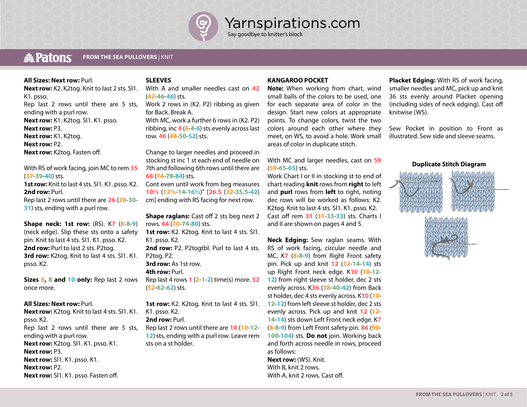

# Yarnspirations.com

Say goodbye to knitter's block

### **A** Patons **FROM THE SEA PULLOVERS** | KNIT

### **All Sizes: Next row:** Purl.

### **SLEEVES**

**Next row:** K2. K2tog. Knit to last 2 sts. Sl1. K1. psso. Rep last 2 rows until there are 5 sts, ending with a purl row. **Next row:** K1. K2tog. Sl1. K1. psso. **Next row:** P3. **Next row:** K1. K2tog. **Next row: P2. Next row:** K2tog. Fasten off.

With RS of work facing, join MC to rem **35** (**37**-**39**-**40**) sts. **1st row:** Knit to last 4 sts. Sl1. K1. psso. K2. **2nd row:** Purl. Rep last 2 rows until there are **26** (**28**-**30**- **31**) sts, ending with a purl row.

**Shape neck: 1st row:** (RS). K**7** (**8**-**8**-**9**) (neck edge). Slip these sts onto a safety pin. Knit to last 4 sts. Sl1. K1. psso. K2. 2nd row: Purl to last 2 sts. P2tog. **3rd row:** K2tog. Knit to last 4 sts. Sl1. K1. psso. K2.

**Sizes 6, 8 and 10 only:** Rep last 2 rows once more.

### **All Sizes: Next row:** Purl.

**Next row:** K2tog. Knit to last 4 sts. Sl1. K1. psso. K2. Rep last 2 rows until there are 5 sts, ending with a purl row. **Next row:** K2tog. Sl1. K1. psso. K1. **Next row:** P3. **Next row:** Sl1. K1. psso. K1. **Next row:** P2. **Next row:** Sl1. K1. psso. Fasten off.

## With A and smaller needles cast on **42** (**42**-**46**-**46**) sts.

Work 2 rows in (K2. P2) ribbing as given for Back. Break A.

With MC, work a further 6 rows in (K2. P2) ribbing, inc **4** (**6**-**4**-**6**) sts evenly across last row. **46** (**48**-**50**-**52**) sts.

Change to larger needles and proceed in stocking st inc 1 st each end of needle on 7th and following 6th rows until there are **68** (**74**-**78**-**84**) sts.

Cont even until work from beg measures **10½** (**12½**-**14**-**16½**)" [**26.5** (**32**-**35.5**-**42**) cm] ending with RS facing for next row.

**Shape raglans:** Cast off 2 sts beg next 2 rows. **64** (**70**-**74**-**80**) sts.

**1st row:** K2. K2tog. Knit to last 4 sts. Sl1. K1. psso. K2. 2nd row: P2. P2togtbl. Purl to last 4 sts.

P2tog. P2. **3rd row:** As 1st row.

**4th row:** Purl.

Rep last 4 rows **1** (**2**-**1**-**2**) time(s) more. **52** (**52**-**62**-**62**) sts.

**1st row:** K2. K2tog. Knit to last 4 sts. Sl1. K1. psso. K2.

## 2nd row: Purl.

Rep last 2 rows until there are **10** (**10**-**12**- **12**) sts, ending with a purl row. Leave rem sts on a st holder.

### **KANGAROO POCKET**

**Note:** When working from chart, wind small balls of the colors to be used, one for each separate area of color in the design. Start new colors at appropriate points. To change colors, twist the two colors around each other where they meet, on WS, to avoid a hole. Work small areas of color in duplicate stitch.

With MC and larger needles, cast on **59** (**59**-**65**-**65**) sts.

Work Chart I or II in stocking st to end of chart reading **knit** rows from **right** to left and **purl** rows from **left** to right, noting dec rows will be worked as follows: K2. K2tog. Knit to last 4 sts. Sl1. K1. psso. K2. Cast off rem **31** (**31**-**33**-**33**) sts. Charts I and II are shown on pages 4 and 5.

**Neck Edging:** Sew raglan seams. With RS of work facing, circular needle and MC, K**7** (**8**-**8**-**9**) from Right Front safety pin. Pick up and knit **12** (**12**-**14**-**14**) sts up Right Front neck edge. K**10** (**10**-**12**- **12**) from right sleeve st holder, dec 2 sts evenly across. K**36** (**38**-**40**-**42**) from Back st holder, dec 4 sts evenly across. K**10** (**10**- **12**-**12**) from left sleeve st holder, dec 2 sts evenly across. Pick up and knit **12** (**12**- **14**-**14**) sts down Left Front neck edge. K**7**  (**8**-**8**-**9**) from Left Front safety pin. **86** (**90**- **100**-**104**) sts. **Do not** join. Working back and forth across needle in rows, proceed as follows:

**Next row:** (WS). Knit. With B, knit 2 rows. With A, knit 2 rows. Cast off.

**Placket Edging:** With RS of work facing, smaller needles and MC, pick up and knit 36 sts evenly around Placket opening (including sides of neck edging). Cast off knitwise (WS).

Sew Pocket in position to Front as illustrated. Sew side and sleeve seams.

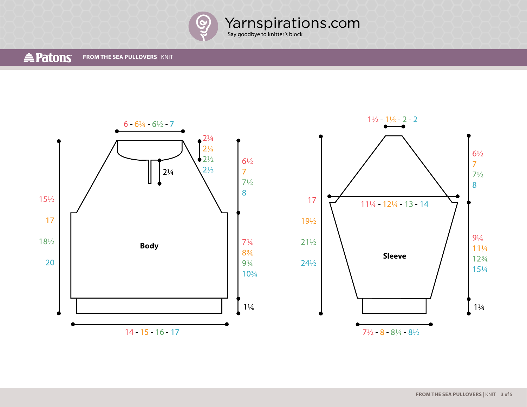

### **A**Patons **FROM THE SEA PULLOVERS** | KNIT

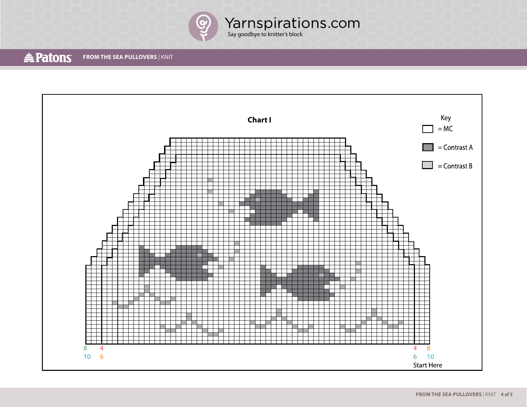

### **A**Patons **FROM THE SEA PULLOVERS** | KNIT